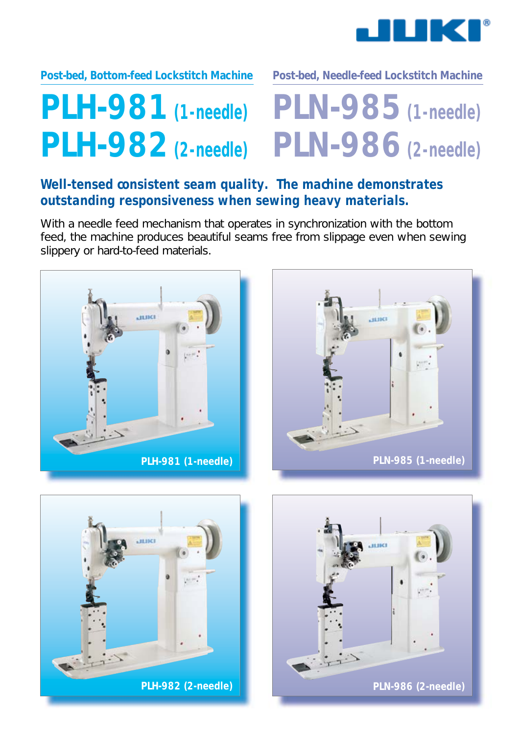

### **Post-bed, Bottom-feed Lockstitch Machine Post-bed, Needle-feed Lockstitch Machine**

# **PLH-981 (1-needle) PLH-982 (2-needle)**

# **PLN-985 (1-needle) PLN-986 (2-needle)**

## **Well-tensed consistent seam quality. The machine demonstrates outstanding responsiveness when sewing heavy materials.**

With a needle feed mechanism that operates in synchronization with the bottom feed, the machine produces beautiful seams free from slippage even when sewing slippery or hard-to-feed materials.